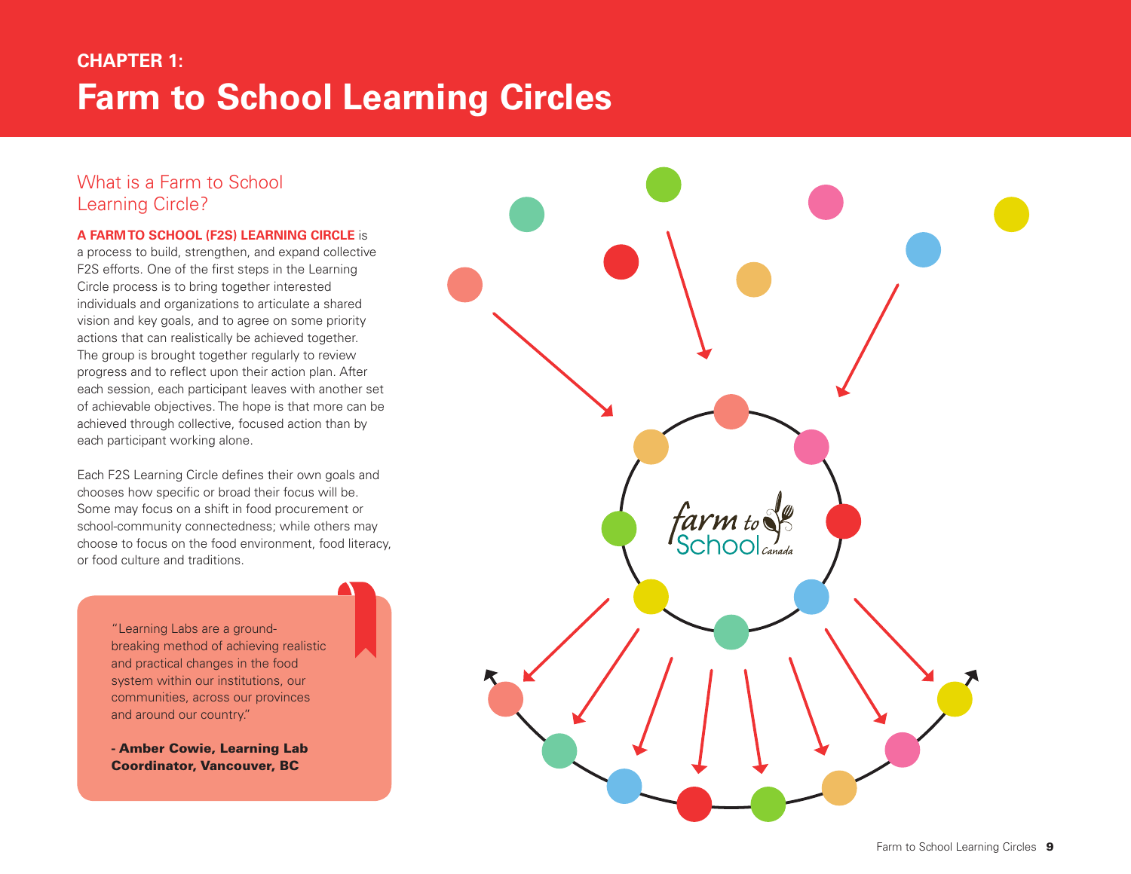# **Farm to School Learning Circles CHAPTER 1:**

## What is a Farm to School Learning Circle?

#### **A Farm to School (F2S) Learning Circle** is

a process to build, strengthen, and expand collective F2S efforts. One of the first steps in the Learning Circle process is to bring together interested individuals and organizations to articulate a shared vision and key goals, and to agree on some priority actions that can realistically be achieved together. The group is brought together regularly to review progress and to reflect upon their action plan. After each session, each participant leaves with another set of achievable objectives. The hope is that more can be achieved through collective, focused action than by each participant working alone.

Each F2S Learning Circle defines their own goals and chooses how specific or broad their focus will be. Some may focus on a shift in food procurement or school-community connectedness; while others may choose to focus on the food environment, food literacy, or food culture and traditions.

> "Learning Labs are a groundbreaking method of achieving realistic and practical changes in the food system within our institutions, our communities, across our provinces and around our country."

- Amber Cowie, Learning Lab Coordinator, Vancouver, BC